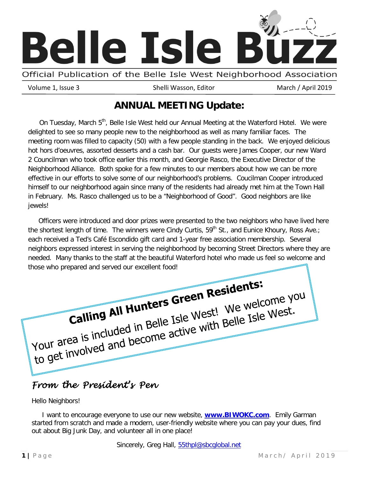

Official Publication of the Belle Isle West Neighborhood Association

Volume 1, Issue 3 Shelli Wasson, Editor March / April 2019

# **ANNUAL MEETING Update:**

On Tuesday, March 5<sup>th</sup>, Belle Isle West held our Annual Meeting at the Waterford Hotel. We were delighted to see so many people new to the neighborhood as well as many familiar faces. The meeting room was filled to capacity (50) with a few people standing in the back. We enjoyed delicious hot hors d'oeuvres, assorted desserts and a cash bar. Our guests were James Cooper, our new Ward 2 Councilman who took office earlier this month, and Georgie Rasco, the Executive Director of the Neighborhood Alliance. Both spoke for a few minutes to our members about how we can be more effective in our efforts to solve some of our neighborhood's problems. Coucilman Cooper introduced himself to our neighborhood again since many of the residents had already met him at the Town Hall in February. Ms. Rasco challenged us to be a "Neighborhood of Good". Good neighbors are like jewels!

 Officers were introduced and door prizes were presented to the two neighbors who have lived here the shortest length of time. The winners were Cindy Curtis,  $59<sup>th</sup>$  St., and Eunice Khoury, Ross Ave.; each received a Ted's Café Escondido gift card and 1-year free association membership. Several neighbors expressed interest in serving the neighborhood by becoming Street Directors where they are needed. Many thanks to the staff at the beautiful Waterford hotel who made us feel so welcome and those who prepared and served our excellent food!

Calling All Hunters Green Residents:<br>Calling All Hunters Green Residents: Calling All Hunters Green West! We welcome your area is included in Belle Isle West.<br>Your area is included in Belle Isle with Belle Isle West. 

# *From the President's Pen*

Hello Neighbors!

 I want to encourage everyone to use our new website, **[www.BIWOKC.com](http://www.biwokc.com/)**. Emily Garman started from scratch and made a modern, user-friendly website where you can pay your dues, find out about Big Junk Day, and volunteer all in one place!

Sincerely, Greg Hall, **55thpl@sbcglobal.net**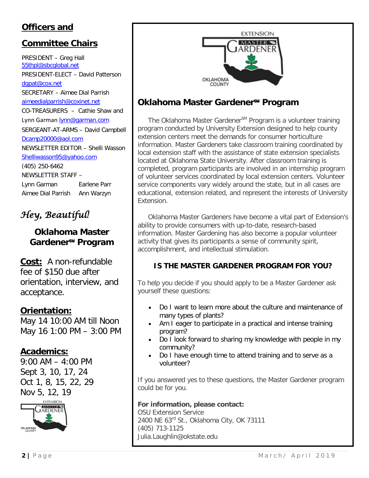# **Officers and**

# **Committee Chairs**

PRESIDENT – Greg Hall [55thpl@sbcglobal.net](mailto:55thpl@sbcglobal.net) PRESIDENT-ELECT – David Patterson [dgpat@cox.net](mailto:dgpat@cox.net) SECRETARY – Aimee Dial Parrish [aimeedialparrish@coxinet.net](mailto:aimeedialparrish@coxinet.net) CO-TREASURERS – Cathie Shaw and Lynn Garman [lynn@garman.com](mailto:lynn@garman.com) SERGEANT-AT-ARMS – David Campbell [Dcamp20000@aol.com](mailto:Dcamp20000@aol.com) NEWSLETTER EDITOR – Shelli Wasson [Shelliwasson95@yahoo.com](mailto:Shelliwasson95@yahoo.com) (405) 250-6462 NEWSLETTER STAFF – Lynn Garman Earlene Parr Aimee Dial Parrish Ann Warzyn

*Hey, Beautiful!* 

### **Oklahoma Master Gardener**℠ **Program**

**Cost:** A non-refundable fee of \$150 due after orientation, interview, and acceptance.

### **Orientation:**

May 14 10:00 AM till Noon May 16 1:00 PM – 3:00 PM

### **Academics:**

9:00 AM – 4:00 PM Sept 3, 10, 17, 24 Oct 1, 8, 15, 22, 29 Nov 5, 12, 19





# **Oklahoma Master Gardener**℠ **Program**

The Oklahoma Master Gardener<sup>SM</sup> Program is a volunteer training program conducted by University Extension designed to help county extension centers meet the demands for consumer horticulture information. Master Gardeners take classroom training coordinated by local extension staff with the assistance of state extension specialists located at Oklahoma State University. After classroom training is completed, program participants are involved in an internship program of volunteer services coordinated by local extension centers. Volunteer service components vary widely around the state, but in all cases are educational, extension related, and represent the interests of University Extension.

 Oklahoma Master Gardeners have become a vital part of Extension's ability to provide consumers with up-to-date, research-based information. Master Gardening has also become a popular volunteer activity that gives its participants a sense of community spirit, accomplishment, and intellectual stimulation.

### **IS THE MASTER GARDENER PROGRAM FOR YOU?**

To help you decide if you should apply to be a Master Gardener ask yourself these questions:

- Do I want to learn more about the culture and maintenance of many types of plants?
- Am I eager to participate in a practical and intense training program?
- Do I look forward to sharing my knowledge with people in my community?
- Do I have enough time to attend training and to serve as a volunteer?

If you answered yes to these questions, the Master Gardener program could be for you.

**For information, please contact:**

OSU Extension Service 2400 NE 63rd St., Oklahoma City, OK 73111 (405) 713-1125 Julia.Laughlin@okstate.edu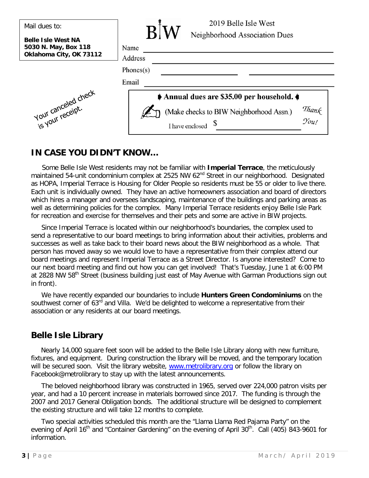| Mail dues to:                                                                | 2019 Belle Isle West<br>$\mathbf{R}$                                        |
|------------------------------------------------------------------------------|-----------------------------------------------------------------------------|
| <b>Belle Isle West NA</b><br>5030 N. May, Box 118<br>Oklahoma City, OK 73112 | Neighborhood Association Dues<br>Name<br>Address                            |
|                                                                              | Phones(s)                                                                   |
|                                                                              | Email<br>Annual dues are \$35.00 per household.                             |
| Your canceled check                                                          | Thank<br>You!<br>(Make checks to BIW Neighborhood Assn.)<br>I have enclosed |

### **IN CASE YOU DIDN'T KNOW…**

 Some Belle Isle West residents may not be familiar with **Imperial Terrace**, the meticulously maintained 54-unit condominium complex at 2525 NW 62<sup>nd</sup> Street in our neighborhood. Designated as HOPA, Imperial Terrace is Housing for Older People so residents must be 55 or older to live there. Each unit is individually owned. They have an active homeowners association and board of directors which hires a manager and oversees landscaping, maintenance of the buildings and parking areas as well as determining policies for the complex. Many Imperial Terrace residents enjoy Belle Isle Park for recreation and exercise for themselves and their pets and some are active in BIW projects.

 Since Imperial Terrace is located within our neighborhood's boundaries, the complex used to send a representative to our board meetings to bring information about their activities, problems and successes as well as take back to their board news about the BIW neighborhood as a whole. That person has moved away so we would love to have a representative from their complex attend our board meetings and represent Imperial Terrace as a Street Director. Is anyone interested? Come to our next board meeting and find out how you can get involved! That's Tuesday, June 1 at 6:00 PM at 2828 NW 58<sup>th</sup> Street (business building just east of May Avenue with Garman Productions sign out in front).

 We have recently expanded our boundaries to include **Hunters Green Condominiums** on the southwest corner of 63<sup>rd</sup> and Villa. We'd be delighted to welcome a representative from their association or any residents at our board meetings.

## **Belle Isle Library**

Nearly 14,000 square feet soon will be added to the Belle Isle Library along with new furniture, fixtures, and equipment. During construction the library will be moved, and the temporary location will be secured soon. Visit the library website, [www.metrolibrary.org](http://www.metrolibrary.org/) or follow the library on Facebook@metrolibrary to stay up with the latest announcements.

 The beloved neighborhood library was constructed in 1965, served over 224,000 patron visits per year, and had a 10 percent increase in materials borrowed since 2017. The funding is through the 2007 and 2017 General Obligation bonds. The additional structure will be designed to complement the existing structure and will take 12 months to complete.

 Two special activities scheduled this month are the "Llama Llama Red Pajama Party" on the evening of April 16<sup>th</sup> and "Container Gardening" on the evening of April 30<sup>th</sup>. Call (405) 843-9601 for information.